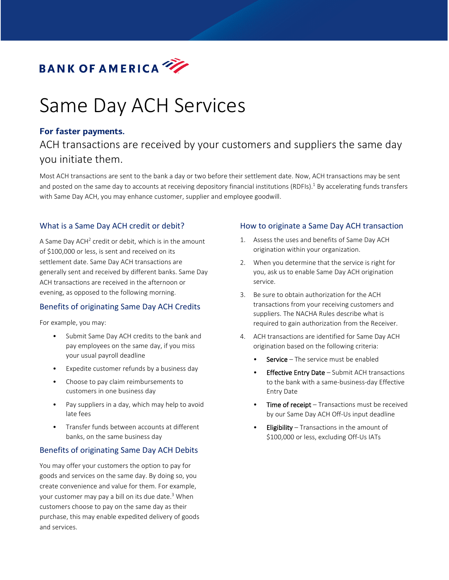

# Same Day ACH Services

# **For faster payments.**

# ACH transactions are received by your customers and suppliers the same day you initiate them.

Most ACH transactions are sent to the bank a day or two before their settlement date. Now, ACH transactions may be sent and posted on the same day to accounts at receiving depository financial institutions (RDFIs).<sup>1</sup> By accelerating funds transfers with Same Day ACH, you may enhance customer, supplier and employee goodwill.

# What is a Same Day ACH credit or debit?

A Same Day ACH2 credit or debit, which is in the amount of \$100,000 or less, is sent and received on its settlement date. Same Day ACH transactions are generally sent and received by different banks. Same Day ACH transactions are received in the afternoon or evening, as opposed to the following morning.

## Benefits of originating Same Day ACH Credits

For example, you may:

- Submit Same Day ACH credits to the bank and pay employees on the same day, if you miss your usual payroll deadline
- Expedite customer refunds by a business day
- Choose to pay claim reimbursements to customers in one business day
- Pay suppliers in a day, which may help to avoid late fees
- Transfer funds between accounts at different banks, on the same business day

## Benefits of originating Same Day ACH Debits

You may offer your customers the option to pay for goods and services on the same day. By doing so, you create convenience and value for them. For example, your customer may pay a bill on its due date. <sup>3</sup> When customers choose to pay on the same day as their purchase, this may enable expedited delivery of goods and services.

#### How to originate a Same Day ACH transaction

- 1. Assess the uses and benefits of Same Day ACH origination within your organization.
- 2. When you determine that the service is right for you, ask us to enable Same Day ACH origination service.
- 3. Be sure to obtain authorization for the ACH transactions from your receiving customers and suppliers. The NACHA Rules describe what is required to gain authorization from the Receiver.
- 4. ACH transactions are identified for Same Day ACH origination based on the following criteria:
	- **Service** The service must be enabled
	- **Effective Entry Date** Submit ACH transactions to the bank with a same-business-day Effective Entry Date
	- **Time of receipt**  $-$  Transactions must be received by our Same Day ACH Off-Us input deadline
	- **Eligibility** Transactions in the amount of \$100,000 or less, excluding Off-Us IATs